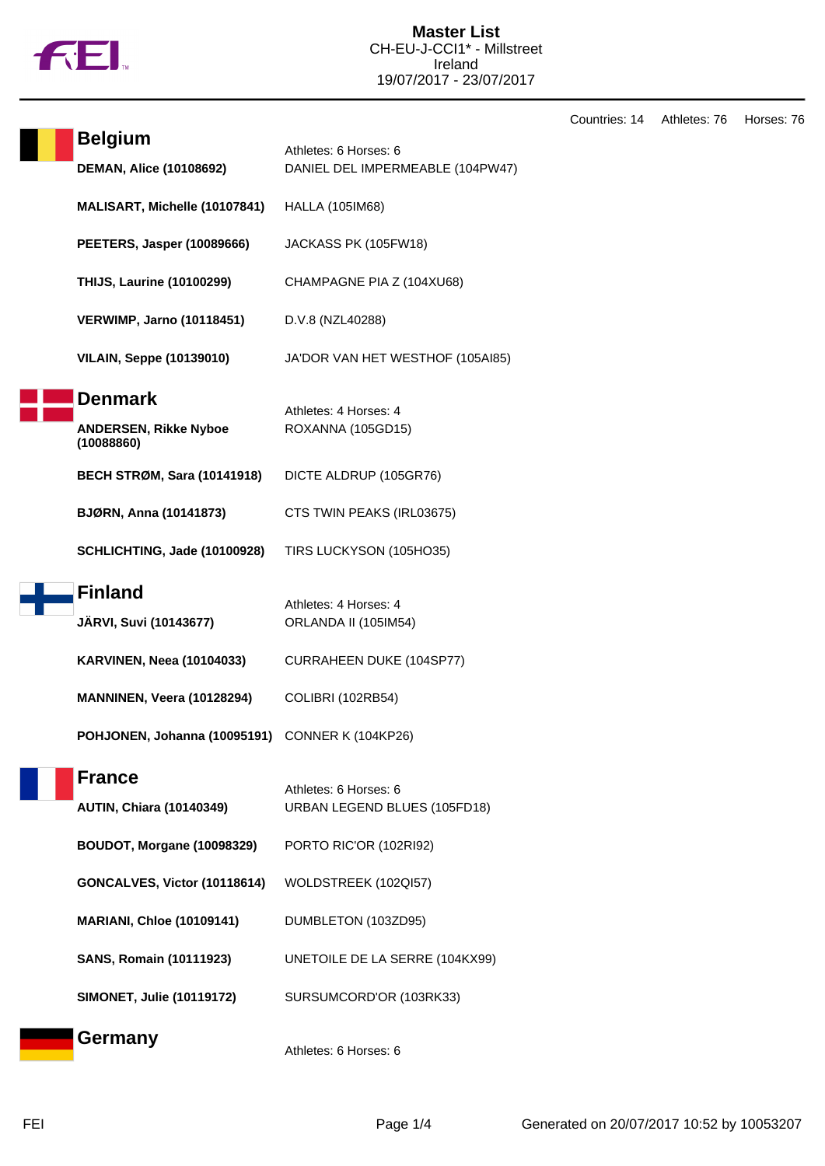

Countries: 14 Athletes: 76 Horses: 76

| <b>Belgium</b><br><b>DEMAN, Alice (10108692)</b>             | Athletes: 6 Horses: 6<br>DANIEL DEL IMPERMEABLE (104PW47) |
|--------------------------------------------------------------|-----------------------------------------------------------|
| <b>MALISART, Michelle (10107841)</b>                         | <b>HALLA (105IM68)</b>                                    |
| <b>PEETERS, Jasper (10089666)</b>                            | JACKASS PK (105FW18)                                      |
| <b>THIJS, Laurine (10100299)</b>                             | CHAMPAGNE PIA Z (104XU68)                                 |
| <b>VERWIMP, Jarno (10118451)</b>                             | D.V.8 (NZL40288)                                          |
| <b>VILAIN, Seppe (10139010)</b>                              | JA'DOR VAN HET WESTHOF (105AI85)                          |
| <b>Denmark</b><br><b>ANDERSEN, Rikke Nyboe</b><br>(10088860) | Athletes: 4 Horses: 4<br>ROXANNA (105GD15)                |
| <b>BECH STRØM, Sara (10141918)</b>                           | DICTE ALDRUP (105GR76)                                    |
| BJØRN, Anna (10141873)                                       | CTS TWIN PEAKS (IRL03675)                                 |
| SCHLICHTING, Jade (10100928)                                 | TIRS LUCKYSON (105HO35)                                   |
| <b>Finland</b>                                               |                                                           |
| <b>JÄRVI, Suvi (10143677)</b>                                | Athletes: 4 Horses: 4<br>ORLANDA II (105IM54)             |
| <b>KARVINEN, Neea (10104033)</b>                             | CURRAHEEN DUKE (104SP77)                                  |
| MANNINEN, Veera (10128294)                                   | COLIBRI (102RB54)                                         |
| POHJONEN, Johanna (10095191) CONNER K (104KP26)              |                                                           |
| <b>France</b><br><b>AUTIN, Chiara (10140349)</b>             | Athletes: 6 Horses: 6<br>URBAN LEGEND BLUES (105FD18)     |
| <b>BOUDOT, Morgane (10098329)</b>                            | PORTO RIC'OR (102RI92)                                    |
| GONCALVES, Victor (10118614)                                 | WOLDSTREEK (102QI57)                                      |
| <b>MARIANI, Chloe (10109141)</b>                             | DUMBLETON (103ZD95)                                       |
| <b>SANS, Romain (10111923)</b>                               | UNETOILE DE LA SERRE (104KX99)                            |
| <b>SIMONET, Julie (10119172)</b>                             | SURSUMCORD'OR (103RK33)                                   |
| <b>Germany</b>                                               | Athletes: 6 Horses: 6                                     |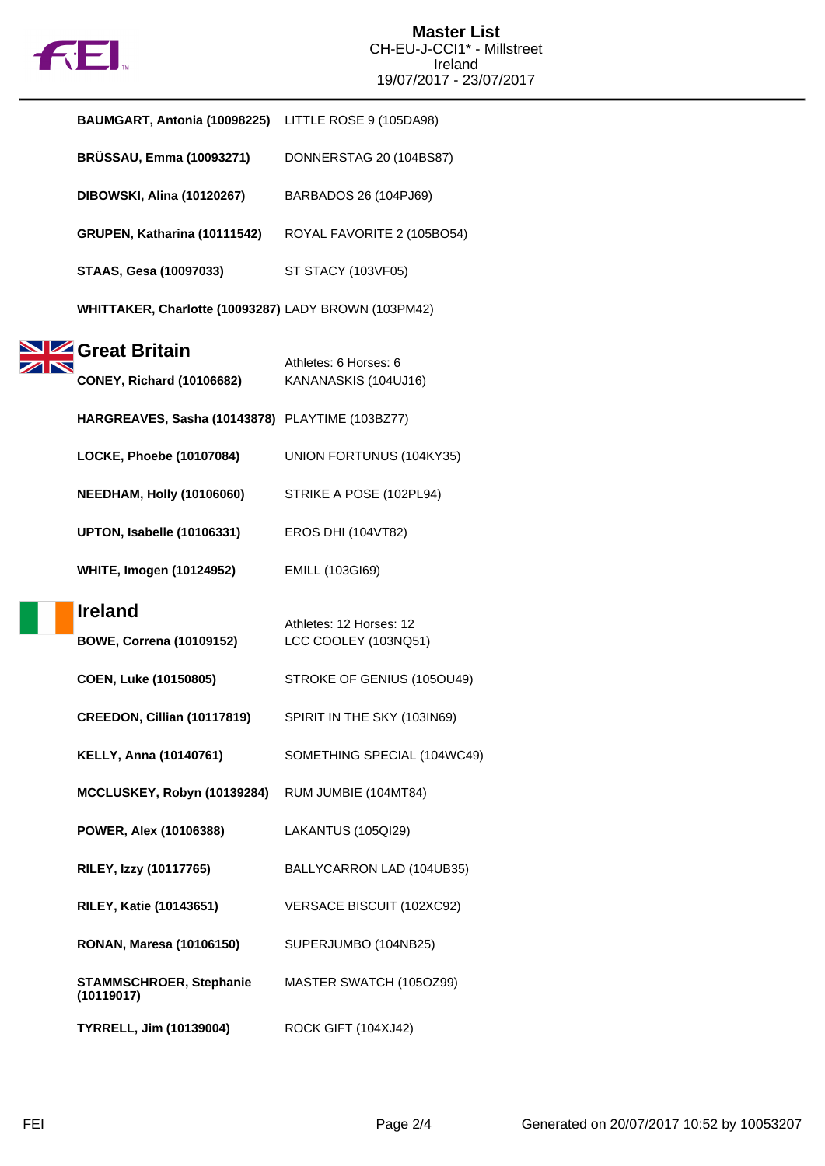

| BAUMGART, Antonia (10098225) LITTLE ROSE 9 (105DA98) |                                                 |
|------------------------------------------------------|-------------------------------------------------|
| <b>BRÜSSAU, Emma (10093271)</b>                      | DONNERSTAG 20 (104BS87)                         |
| <b>DIBOWSKI, Alina (10120267)</b>                    | BARBADOS 26 (104PJ69)                           |
| GRUPEN, Katharina (10111542)                         | ROYAL FAVORITE 2 (105BO54)                      |
| <b>STAAS, Gesa (10097033)</b>                        | ST STACY (103VF05)                              |
| WHITTAKER, Charlotte (10093287) LADY BROWN (103PM42) |                                                 |
| Great Britain<br><b>CONEY, Richard (10106682)</b>    | Athletes: 6 Horses: 6<br>KANANASKIS (104UJ16)   |
| HARGREAVES, Sasha (10143878) PLAYTIME (103BZ77)      |                                                 |
| LOCKE, Phoebe (10107084)                             | UNION FORTUNUS (104KY35)                        |
| <b>NEEDHAM, Holly (10106060)</b>                     | STRIKE A POSE (102PL94)                         |
| UPTON, Isabelle (10106331)                           | <b>EROS DHI (104VT82)</b>                       |
| <b>WHITE, Imogen (10124952)</b>                      | <b>EMILL (103GI69)</b>                          |
| <b>Ireland</b><br><b>BOWE, Correna (10109152)</b>    | Athletes: 12 Horses: 12<br>LCC COOLEY (103NQ51) |
| COEN, Luke (10150805)                                | STROKE OF GENIUS (105OU49)                      |
| CREEDON, Cillian (10117819)                          | SPIRIT IN THE SKY (103IN69)                     |
| <b>KELLY, Anna (10140761)</b>                        | SOMETHING SPECIAL (104WC49)                     |
| MCCLUSKEY, Robyn (10139284)                          | RUM JUMBIE (104MT84)                            |
| POWER, Alex (10106388)                               | LAKANTUS (105QI29)                              |
| RILEY, Izzy (10117765)                               | BALLYCARRON LAD (104UB35)                       |
| <b>RILEY, Katie (10143651)</b>                       | VERSACE BISCUIT (102XC92)                       |
| <b>RONAN, Maresa (10106150)</b>                      | SUPERJUMBO (104NB25)                            |
| <b>STAMMSCHROER, Stephanie</b><br>(10119017)         | MASTER SWATCH (105OZ99)                         |
| <b>TYRRELL, Jim (10139004)</b>                       | ROCK GIFT (104XJ42)                             |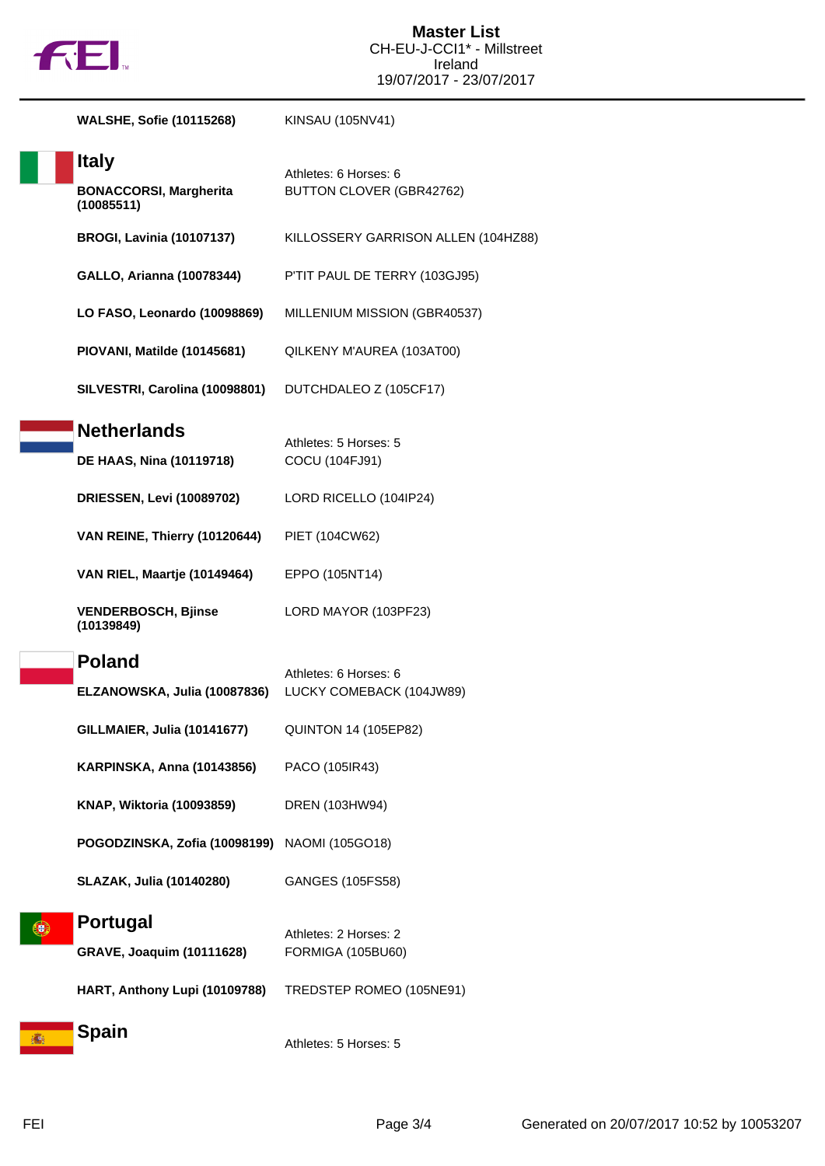

|   | <b>WALSHE, Sofie (10115268)</b>                             | KINSAU (105NV41)                                  |
|---|-------------------------------------------------------------|---------------------------------------------------|
|   | <b>Italy</b><br><b>BONACCORSI, Margherita</b><br>(10085511) | Athletes: 6 Horses: 6<br>BUTTON CLOVER (GBR42762) |
|   | <b>BROGI, Lavinia (10107137)</b>                            | KILLOSSERY GARRISON ALLEN (104HZ88)               |
|   | <b>GALLO, Arianna (10078344)</b>                            | P'TIT PAUL DE TERRY (103GJ95)                     |
|   | LO FASO, Leonardo (10098869)                                | MILLENIUM MISSION (GBR40537)                      |
|   | PIOVANI, Matilde (10145681)                                 | QILKENY M'AUREA (103AT00)                         |
|   | SILVESTRI, Carolina (10098801)                              | DUTCHDALEO Z (105CF17)                            |
|   | <b>Netherlands</b><br><b>DE HAAS, Nina (10119718)</b>       | Athletes: 5 Horses: 5<br>COCU (104FJ91)           |
|   | <b>DRIESSEN, Levi (10089702)</b>                            | LORD RICELLO (104IP24)                            |
|   | VAN REINE, Thierry (10120644)                               | PIET (104CW62)                                    |
|   | VAN RIEL, Maartje (10149464)                                | EPPO (105NT14)                                    |
|   | <b>VENDERBOSCH, Bjinse</b><br>(10139849)                    | LORD MAYOR (103PF23)                              |
|   | <b>Poland</b><br>ELZANOWSKA, Julia (10087836)               | Athletes: 6 Horses: 6<br>LUCKY COMEBACK (104JW89) |
|   | GILLMAIER, Julia (10141677)                                 | <b>QUINTON 14 (105EP82)</b>                       |
|   | <b>KARPINSKA, Anna (10143856)</b>                           | PACO (105IR43)                                    |
|   | KNAP, Wiktoria (10093859)                                   | DREN (103HW94)                                    |
|   | POGODZINSKA, Zofia (10098199)                               | NAOMI (105GO18)                                   |
|   | <b>SLAZAK, Julia (10140280)</b>                             | GANGES (105FS58)                                  |
|   | <b>Portugal</b><br><b>GRAVE, Joaquim (10111628)</b>         | Athletes: 2 Horses: 2<br><b>FORMIGA (105BU60)</b> |
|   | HART, Anthony Lupi (10109788)                               | TREDSTEP ROMEO (105NE91)                          |
| 播 | Spain                                                       | Athletes: 5 Horses: 5                             |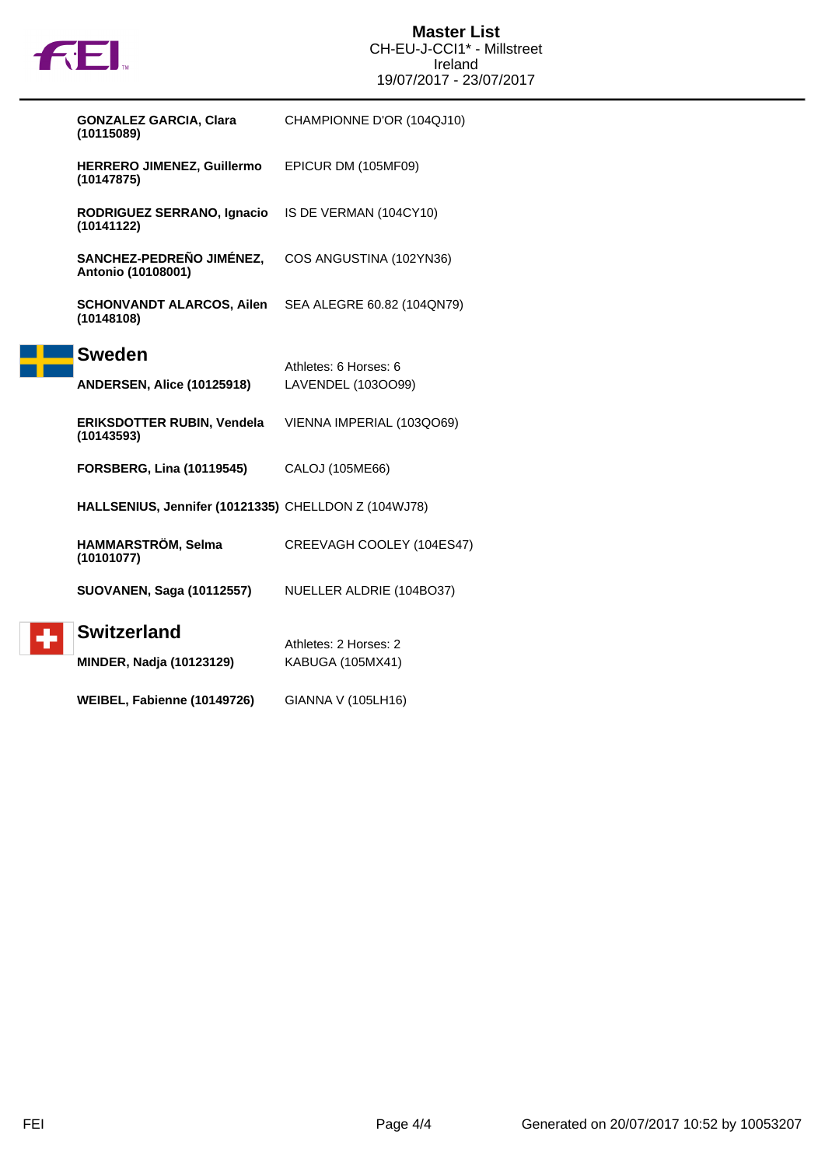

|  | <b>GONZALEZ GARCIA, Clara</b><br>(10115089)          | CHAMPIONNE D'OR (104QJ10)  |
|--|------------------------------------------------------|----------------------------|
|  | HERRERO JIMENEZ, Guillermo<br>(10147875)             | EPICUR DM (105MF09)        |
|  | RODRIGUEZ SERRANO, Ignacio<br>(10141122)             | IS DE VERMAN (104CY10)     |
|  | SANCHEZ-PEDREÑO JIMÉNEZ,<br>Antonio (10108001)       | COS ANGUSTINA (102YN36)    |
|  | <b>SCHONVANDT ALARCOS, Ailen</b><br>(10148108)       | SEA ALEGRE 60.82 (104QN79) |
|  | <b>Sweden</b>                                        |                            |
|  |                                                      | Athletes: 6 Horses: 6      |
|  | <b>ANDERSEN, Alice (10125918)</b>                    | LAVENDEL (103OO99)         |
|  | <b>ERIKSDOTTER RUBIN, Vendela</b><br>(10143593)      | VIENNA IMPERIAL (103QO69)  |
|  | <b>FORSBERG, Lina (10119545)</b>                     | CALOJ (105ME66)            |
|  | HALLSENIUS, Jennifer (10121335) CHELLDON Z (104WJ78) |                            |
|  | HAMMARSTRÖM, Selma<br>(10101077)                     | CREEVAGH COOLEY (104ES47)  |
|  | <b>SUOVANEN, Saga (10112557)</b>                     | NUELLER ALDRIE (104BO37)   |
|  | <b>Switzerland</b>                                   |                            |
|  |                                                      | Athletes: 2 Horses: 2      |
|  | <b>MINDER, Nadja (10123129)</b>                      | KABUGA (105MX41)           |
|  | WEIBEL, Fabienne (10149726)                          | GIANNA V (105LH16)         |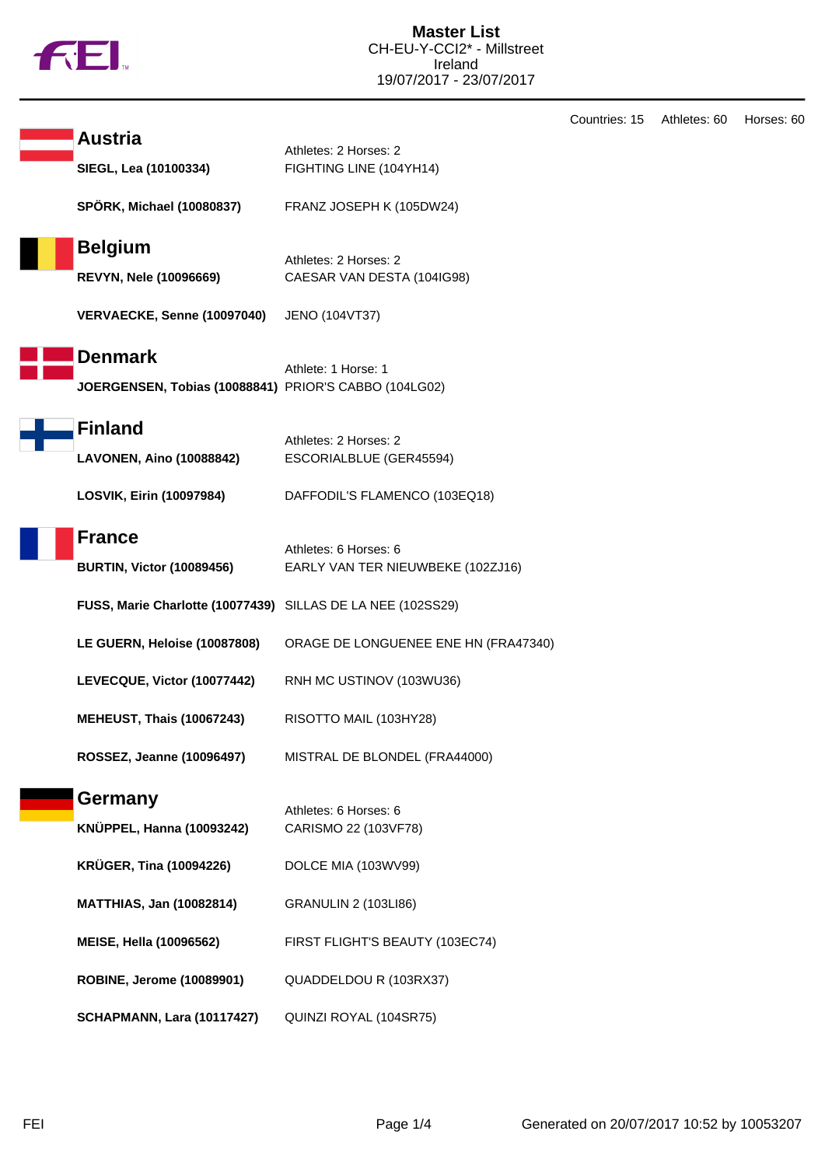

|                                                                         |                                                            | Countrie: |
|-------------------------------------------------------------------------|------------------------------------------------------------|-----------|
| <b>Austria</b><br>SIEGL, Lea (10100334)                                 | Athletes: 2 Horses: 2<br>FIGHTING LINE (104YH14)           |           |
| <b>SPÖRK, Michael (10080837)</b>                                        | FRANZ JOSEPH K (105DW24)                                   |           |
| <b>Belgium</b><br><b>REVYN, Nele (10096669)</b>                         | Athletes: 2 Horses: 2<br>CAESAR VAN DESTA (104IG98)        |           |
| VERVAECKE, Senne (10097040)                                             | JENO (104VT37)                                             |           |
| <b>Denmark</b><br>JOERGENSEN, Tobias (10088841) PRIOR'S CABBO (104LG02) | Athlete: 1 Horse: 1                                        |           |
| <b>Finland</b><br><b>LAVONEN, Aino (10088842)</b>                       | Athletes: 2 Horses: 2<br>ESCORIALBLUE (GER45594)           |           |
| LOSVIK, Eirin (10097984)                                                | DAFFODIL'S FLAMENCO (103EQ18)                              |           |
| <b>France</b><br><b>BURTIN, Victor (10089456)</b>                       | Athletes: 6 Horses: 6<br>EARLY VAN TER NIEUWBEKE (102ZJ16) |           |
| FUSS, Marie Charlotte (10077439) SILLAS DE LA NEE (102SS29)             |                                                            |           |
| LE GUERN, Heloise (10087808)                                            | ORAGE DE LONGUENEE ENE HN (FRA47340)                       |           |
| LEVECQUE, Victor (10077442)                                             | RNH MC USTINOV (103WU36)                                   |           |
| <b>MEHEUST, Thais (10067243)</b>                                        | RISOTTO MAIL (103HY28)                                     |           |
| ROSSEZ, Jeanne (10096497)                                               | MISTRAL DE BLONDEL (FRA44000)                              |           |
| Germany<br><b>KNÜPPEL, Hanna (10093242)</b>                             | Athletes: 6 Horses: 6<br>CARISMO 22 (103VF78)              |           |
| <b>KRÜGER, Tina (10094226)</b>                                          | DOLCE MIA (103WV99)                                        |           |
| <b>MATTHIAS, Jan (10082814)</b>                                         | <b>GRANULIN 2 (103LI86)</b>                                |           |
| <b>MEISE, Hella (10096562)</b>                                          | FIRST FLIGHT'S BEAUTY (103EC74)                            |           |
| ROBINE, Jerome (10089901)                                               | QUADDELDOU R (103RX37)                                     |           |
| SCHAPMANN, Lara (10117427)                                              | QUINZI ROYAL (104SR75)                                     |           |

н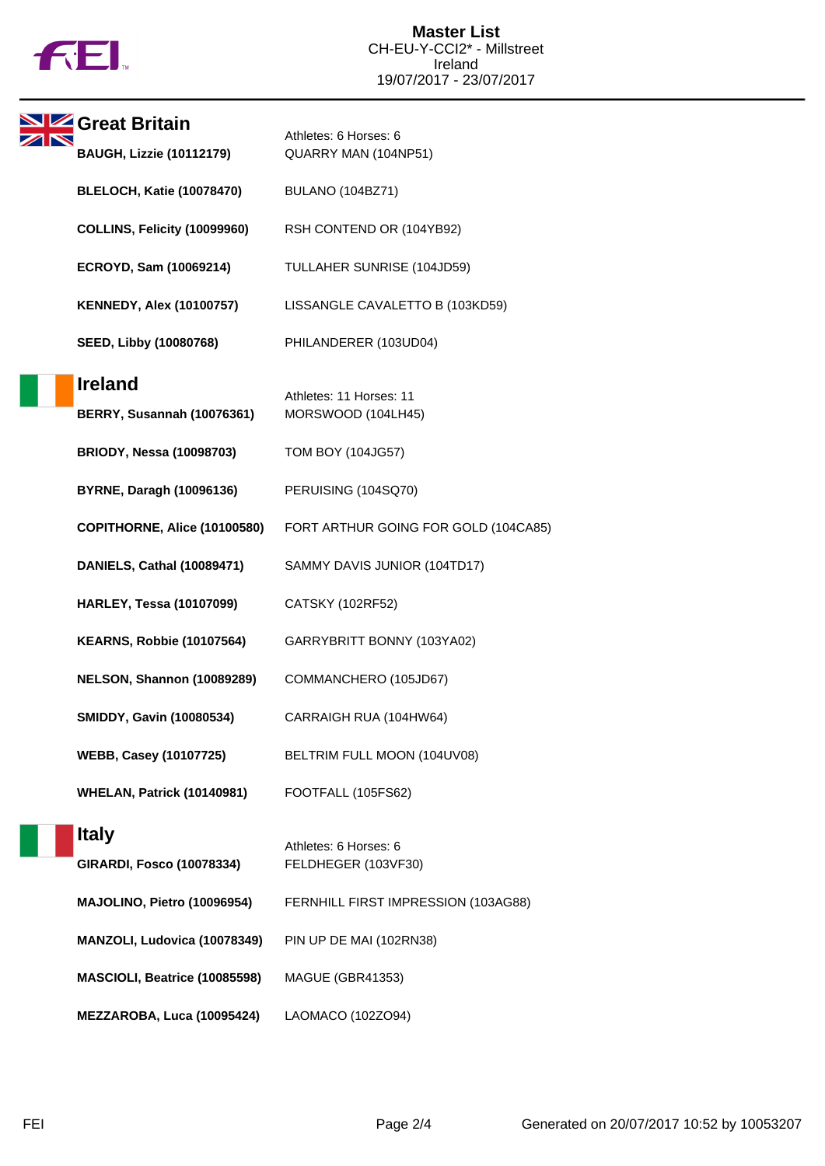

| Great Britain                                       | Athletes: 6 Horses: 6                         |
|-----------------------------------------------------|-----------------------------------------------|
| <b>BAUGH, Lizzie (10112179)</b>                     | QUARRY MAN (104NP51)                          |
| <b>BLELOCH, Katie (10078470)</b>                    | BULANO (104BZ71)                              |
| COLLINS, Felicity (10099960)                        | RSH CONTEND OR (104YB92)                      |
| ECROYD, Sam (10069214)                              | TULLAHER SUNRISE (104JD59)                    |
| <b>KENNEDY, Alex (10100757)</b>                     | LISSANGLE CAVALETTO B (103KD59)               |
| SEED, Libby (10080768)                              | PHILANDERER (103UD04)                         |
| <b>Ireland</b><br><b>BERRY, Susannah (10076361)</b> | Athletes: 11 Horses: 11<br>MORSWOOD (104LH45) |
| <b>BRIODY, Nessa (10098703)</b>                     | TOM BOY (104JG57)                             |
| <b>BYRNE, Daragh (10096136)</b>                     | PERUISING (104SQ70)                           |
| COPITHORNE, Alice (10100580)                        | FORT ARTHUR GOING FOR GOLD (104CA85)          |
| DANIELS, Cathal (10089471)                          | SAMMY DAVIS JUNIOR (104TD17)                  |
| <b>HARLEY, Tessa (10107099)</b>                     | CATSKY (102RF52)                              |
| <b>KEARNS, Robbie (10107564)</b>                    | GARRYBRITT BONNY (103YA02)                    |
| NELSON, Shannon (10089289)                          | COMMANCHERO (105JD67)                         |
| <b>SMIDDY, Gavin (10080534)</b>                     | CARRAIGH RUA (104HW64)                        |
| <b>WEBB, Casey (10107725)</b>                       | BELTRIM FULL MOON (104UV08)                   |
| <b>WHELAN, Patrick (10140981)</b>                   | FOOTFALL (105FS62)                            |
| <b>Italy</b><br><b>GIRARDI, Fosco (10078334)</b>    | Athletes: 6 Horses: 6<br>FELDHEGER (103VF30)  |
| MAJOLINO, Pietro (10096954)                         | FERNHILL FIRST IMPRESSION (103AG88)           |
| MANZOLI, Ludovica (10078349)                        | PIN UP DE MAI (102RN38)                       |
| MASCIOLI, Beatrice (10085598)                       | MAGUE (GBR41353)                              |
| MEZZAROBA, Luca (10095424)                          | LAOMACO (102ZO94)                             |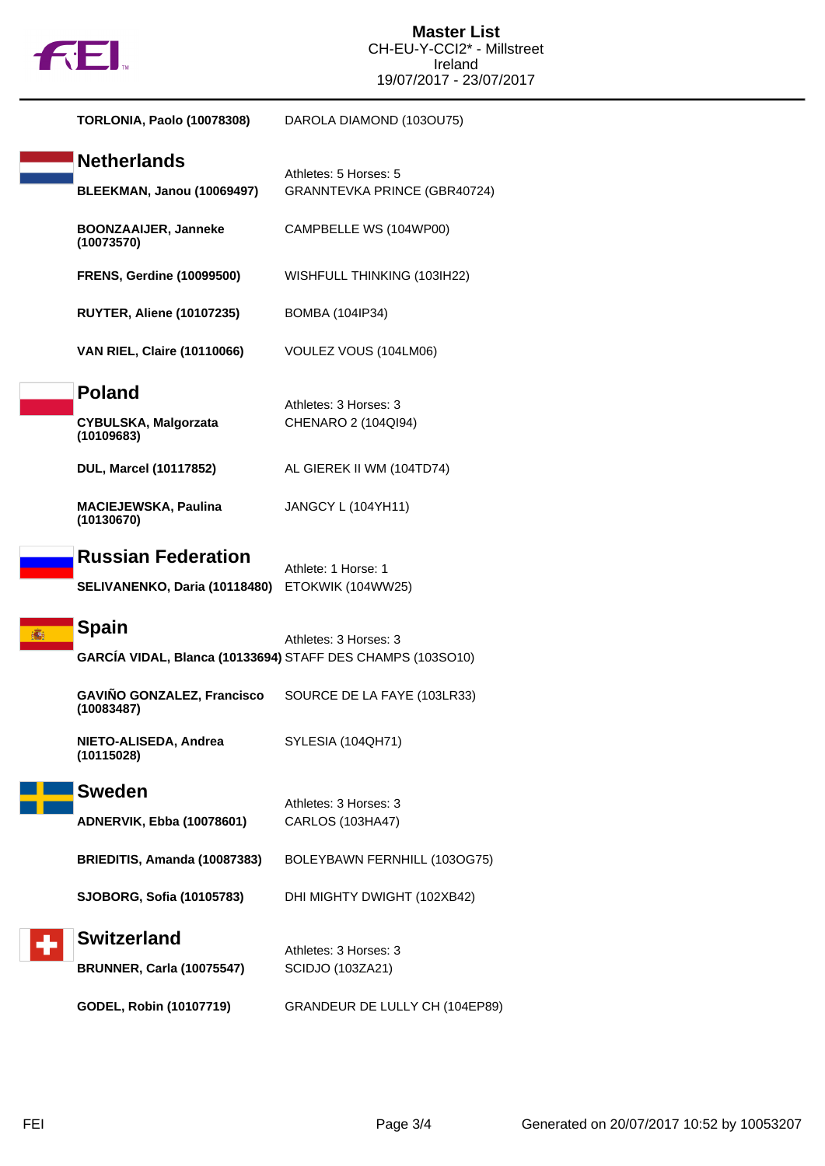

| TORLONIA, Paolo (10078308)                                                 | DAROLA DIAMOND (103OU75)                              |
|----------------------------------------------------------------------------|-------------------------------------------------------|
| <b>Netherlands</b><br><b>BLEEKMAN, Janou (10069497)</b>                    | Athletes: 5 Horses: 5<br>GRANNTEVKA PRINCE (GBR40724) |
| <b>BOONZAAIJER, Janneke</b><br>(10073570)                                  | CAMPBELLE WS (104WP00)                                |
| <b>FRENS, Gerdine (10099500)</b>                                           | WISHFULL THINKING (103IH22)                           |
| <b>RUYTER, Aliene (10107235)</b>                                           | <b>BOMBA (104IP34)</b>                                |
| <b>VAN RIEL, Claire (10110066)</b>                                         | VOULEZ VOUS (104LM06)                                 |
| <b>Poland</b><br><b>CYBULSKA, Malgorzata</b><br>(10109683)                 | Athletes: 3 Horses: 3<br>CHENARO 2 (104QI94)          |
| DUL, Marcel (10117852)                                                     | AL GIEREK II WM (104TD74)                             |
| <b>MACIEJEWSKA, Paulina</b><br>(10130670)                                  | JANGCY L (104YH11)                                    |
| <b>Russian Federation</b><br>SELIVANENKO, Daria (10118480)                 | Athlete: 1 Horse: 1<br>ETOKWIK (104WW25)              |
| <b>Spain</b><br>GARCÍA VIDAL, Blanca (10133694) STAFF DES CHAMPS (103SO10) | Athletes: 3 Horses: 3                                 |
| <b>GAVIÑO GONZALEZ, Francisco</b><br>(10083487)                            | SOURCE DE LA FAYE (103LR33)                           |
| NIETO-ALISEDA, Andrea<br>(10115028)                                        | SYLESIA (104QH71)                                     |
| <b>Sweden</b>                                                              | Athletes: 3 Horses: 3                                 |
| ADNERVIK, Ebba (10078601)                                                  | CARLOS (103HA47)                                      |
| BRIEDITIS, Amanda (10087383)                                               | BOLEYBAWN FERNHILL (103OG75)                          |
| SJOBORG, Sofia (10105783)                                                  | DHI MIGHTY DWIGHT (102XB42)                           |
| <b>Switzerland</b><br><b>BRUNNER, Carla (10075547)</b>                     | Athletes: 3 Horses: 3<br>SCIDJO (103ZA21)             |
| GODEL, Robin (10107719)                                                    | GRANDEUR DE LULLY CH (104EP89)                        |